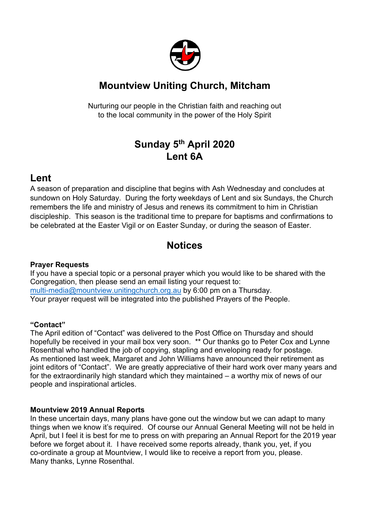

# **Mountview Uniting Church, Mitcham**

Nurturing our people in the Christian faith and reaching out to the local community in the power of the Holy Spirit

# **Sunday 5th April 2020 Lent 6A**

## **Lent**

A season of preparation and discipline that begins with Ash Wednesday and concludes at sundown on Holy Saturday. During the forty weekdays of Lent and six Sundays, the Church remembers the life and ministry of Jesus and renews its commitment to him in Christian discipleship. This season is the traditional time to prepare for baptisms and confirmations to be celebrated at the Easter Vigil or on Easter Sunday, or during the season of Easter.

## **Notices**

### **Prayer Requests**

If you have a special topic or a personal prayer which you would like to be shared with the Congregation, then please send an email listing your request to: multi-media@mountview.unitingchurch.org.au by 6:00 pm on a Thursday. Your prayer request will be integrated into the published Prayers of the People.

### **"Contact"**

The April edition of "Contact" was delivered to the Post Office on Thursday and should hopefully be received in your mail box very soon. \*\* Our thanks go to Peter Cox and Lynne Rosenthal who handled the job of copying, stapling and enveloping ready for postage. As mentioned last week, Margaret and John Williams have announced their retirement as joint editors of "Contact". We are greatly appreciative of their hard work over many years and for the extraordinarily high standard which they maintained – a worthy mix of news of our people and inspirational articles.

### **Mountview 2019 Annual Reports**

In these uncertain days, many plans have gone out the window but we can adapt to many things when we know it's required. Of course our Annual General Meeting will not be held in April, but I feel it is best for me to press on with preparing an Annual Report for the 2019 year before we forget about it. I have received some reports already, thank you, yet, if you co-ordinate a group at Mountview, I would like to receive a report from you, please. Many thanks, Lynne Rosenthal.